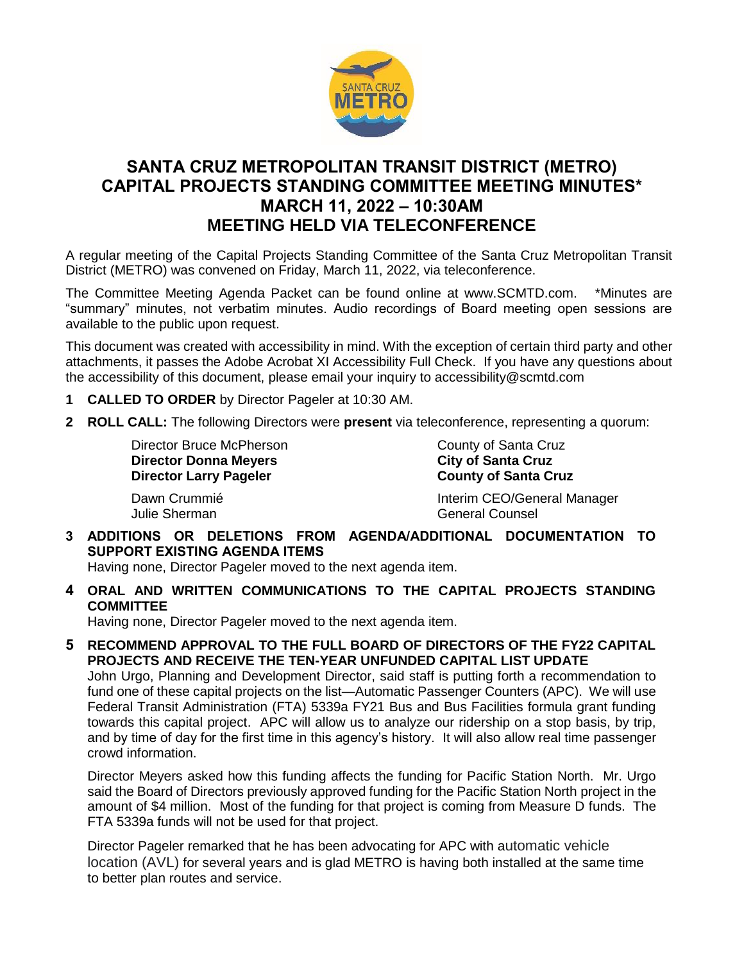

# **SANTA CRUZ METROPOLITAN TRANSIT DISTRICT (METRO) CAPITAL PROJECTS STANDING COMMITTEE MEETING MINUTES\* MARCH 11, 2022 – 10:30AM MEETING HELD VIA TELECONFERENCE**

A regular meeting of the Capital Projects Standing Committee of the Santa Cruz Metropolitan Transit District (METRO) was convened on Friday, March 11, 2022, via teleconference.

The Committee Meeting Agenda Packet can be found online at www.SCMTD.com. \*Minutes are "summary" minutes, not verbatim minutes. Audio recordings of Board meeting open sessions are available to the public upon request.

This document was created with accessibility in mind. With the exception of certain third party and other attachments, it passes the Adobe Acrobat XI Accessibility Full Check. If you have any questions about the accessibility of this document, please email your inquiry to accessibility@scmtd.com

- **1 CALLED TO ORDER** by Director Pageler at 10:30 AM.
- **2 ROLL CALL:** The following Directors were **present** via teleconference, representing a quorum:

Director Bruce McPherson **County County of Santa Cruz Director Donna Meyers City of Santa Cruz Director Larry Pageler** 

Dawn Crummié **Interim CEO/General Manager** Julie Sherman General Counsel

**3 ADDITIONS OR DELETIONS FROM AGENDA/ADDITIONAL DOCUMENTATION TO SUPPORT EXISTING AGENDA ITEMS** 

Having none, Director Pageler moved to the next agenda item.

**4 ORAL AND WRITTEN COMMUNICATIONS TO THE CAPITAL PROJECTS STANDING COMMITTEE** 

Having none, Director Pageler moved to the next agenda item.

**5 RECOMMEND APPROVAL TO THE FULL BOARD OF DIRECTORS OF THE FY22 CAPITAL PROJECTS AND RECEIVE THE TEN-YEAR UNFUNDED CAPITAL LIST UPDATE**

John Urgo, Planning and Development Director, said staff is putting forth a recommendation to fund one of these capital projects on the list—Automatic Passenger Counters (APC). We will use Federal Transit Administration (FTA) 5339a FY21 Bus and Bus Facilities formula grant funding towards this capital project. APC will allow us to analyze our ridership on a stop basis, by trip, and by time of day for the first time in this agency's history. It will also allow real time passenger crowd information.

Director Meyers asked how this funding affects the funding for Pacific Station North. Mr. Urgo said the Board of Directors previously approved funding for the Pacific Station North project in the amount of \$4 million. Most of the funding for that project is coming from Measure D funds. The FTA 5339a funds will not be used for that project.

Director Pageler remarked that he has been advocating for APC with automatic vehicle location (AVL) for several years and is glad METRO is having both installed at the same time to better plan routes and service.